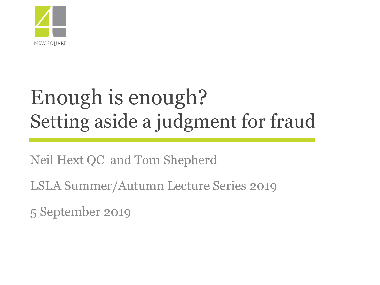

# Enough is enough? Setting aside a judgment for fraud

Neil Hext QC and Tom Shepherd

LSLA Summer/Autumn Lecture Series 2019

5 September 2019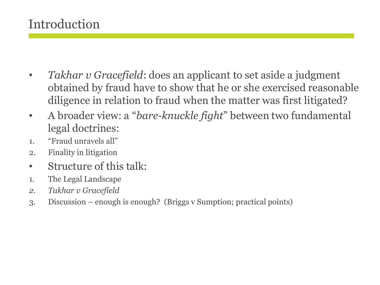## Introduction

- *Takhar v Gracefield*: does an applicant to set aside a judgment obtained by fraud have to show that he or she exercised reasonable diligence in relation to fraud when the matter was first litigated?
- A broader view: a "*bare-knuckle fight*" between two fundamental legal doctrines:
- 1. "Fraud unravels all"
- 2. Finality in litigation
- Structure of this talk:
- 1. The Legal Landscape
- *2. Takhar v Gracefield*
- 3. Discussion enough is enough? (Briggs v Sumption; practical points)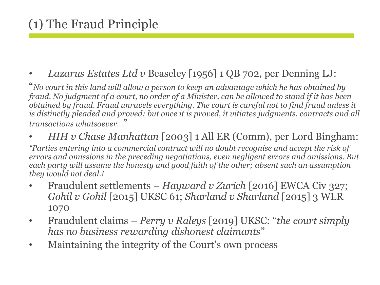#### • *Lazarus Estates Ltd v* Beaseley [1956] 1 QB 702, per Denning LJ:

"*No court in this land will allow a person to keep an advantage which he has obtained by fraud. No judgment of a court, no order of a Minister, can be allowed to stand if it has been obtained by fraud. Fraud unravels everything. The court is careful not to find fraud unless it is distinctly pleaded and proved; but once it is proved, it vitiates judgments, contracts and all transactions whatsoever…*"

#### • *HIH v Chase Manhattan* [2003] 1 All ER (Comm), per Lord Bingham:

*"Parties entering into a commercial contract will no doubt recognise and accept the risk of errors and omissions in the preceding negotiations, even negligent errors and omissions. But each party will assume the honesty and good faith of the other; absent such an assumption they would not deal.!*

- Fraudulent settlements *Hayward v Zurich* [2016] EWCA Civ 327; *Gohil v Gohil* [2015] UKSC 61; *Sharland v Sharland* [2015] 3 WLR 1070
- Fraudulent claims *Perry v Raleys* [2019] UKSC: "*the court simply has no business rewarding dishonest claimants*"
- Maintaining the integrity of the Court's own process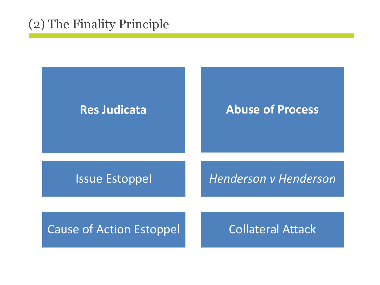## (2) The Finality Principle

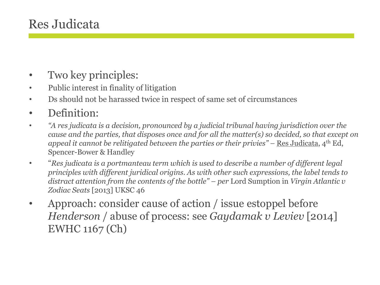## Res Judicata

- Two key principles:
- Public interest in finality of litigation
- Ds should not be harassed twice in respect of same set of circumstances
- Definition:
- *"A res judicata is a decision, pronounced by a judicial tribunal having jurisdiction over the cause and the parties, that disposes once and for all the matter(s) so decided, so that except on appeal it cannot be relitigated between the parties or their privies" –* Res Judicata, 4th Ed, Spencer-Bower & Handley
- "*Res judicata is a portmanteau term which is used to describe a number of different legal principles with different juridical origins. As with other such expressions, the label tends to distract attention from the contents of the bottle" – per* Lord Sumption in *Virgin Atlantic v Zodiac Seats* [2013] UKSC 46
- Approach: consider cause of action / issue estoppel before *Henderson* / abuse of process: see *Gaydamak v Leviev* [2014] EWHC 1167 (Ch)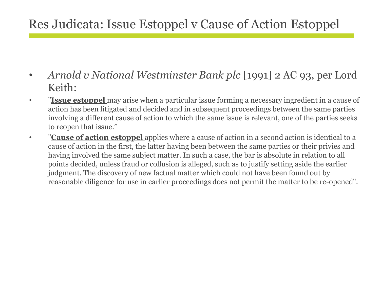## Res Judicata: Issue Estoppel v Cause of Action Estoppel

- *Arnold v National Westminster Bank plc* [1991] 2 AC 93, per Lord Keith:
- "**Issue estoppel** may arise when a particular issue forming a necessary ingredient in a cause of action has been litigated and decided and in subsequent proceedings between the same parties involving a different cause of action to which the same issue is relevant, one of the parties seeks to reopen that issue."
- "**Cause of action estoppel** applies where a cause of action in a second action is identical to a cause of action in the first, the latter having been between the same parties or their privies and having involved the same subject matter. In such a case, the bar is absolute in relation to all points decided, unless fraud or collusion is alleged, such as to justify setting aside the earlier judgment. The discovery of new factual matter which could not have been found out by reasonable diligence for use in earlier proceedings does not permit the matter to be re-opened".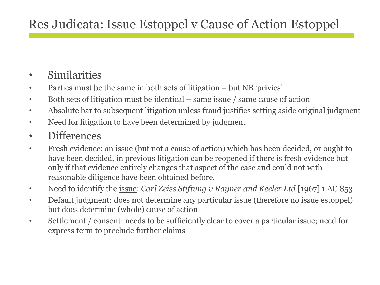## Res Judicata: Issue Estoppel v Cause of Action Estoppel

#### • Similarities

- Parties must be the same in both sets of litigation but NB 'privies'
- Both sets of litigation must be identical same issue / same cause of action
- Absolute bar to subsequent litigation unless fraud justifies setting aside original judgment
- Need for litigation to have been determined by judgment
- Differences
- Fresh evidence: an issue (but not a cause of action) which has been decided, or ought to have been decided, in previous litigation can be reopened if there is fresh evidence but only if that evidence entirely changes that aspect of the case and could not with reasonable diligence have been obtained before.
- Need to identify the <u>issue</u>: *Carl Zeiss Stiftung v Rayner and Keeler Ltd* [1967] 1 AC 853
- Default judgment: does not determine any particular issue (therefore no issue estoppel) but does determine (whole) cause of action
- Settlement / consent: needs to be sufficiently clear to cover a particular issue; need for express term to preclude further claims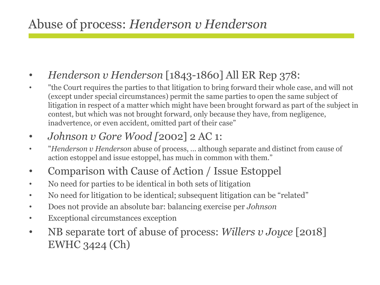## Abuse of process: *Henderson v Henderson*

- *Henderson v Henderson* [1843-1860] All ER Rep 378:
- "the Court requires the parties to that litigation to bring forward their whole case, and will not (except under special circumstances) permit the same parties to open the same subject of litigation in respect of a matter which might have been brought forward as part of the subject in contest, but which was not brought forward, only because they have, from negligence, inadvertence, or even accident, omitted part of their case"
- *Johnson v Gore Wood [*2002] 2 AC 1:
- "*Henderson v Henderson* abuse of process, ... although separate and distinct from cause of action estoppel and issue estoppel, has much in common with them."
- Comparison with Cause of Action / Issue Estoppel
- No need for parties to be identical in both sets of litigation
- No need for litigation to be identical; subsequent litigation can be "related"
- Does not provide an absolute bar: balancing exercise per *Johnson*
- Exceptional circumstances exception
- NB separate tort of abuse of process: *Willers v Joyce* [2018] EWHC 3424 (Ch)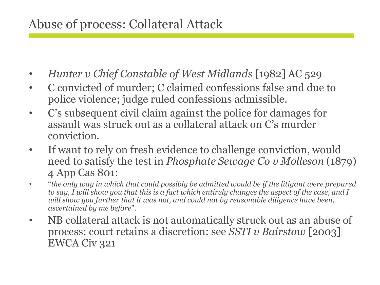## Abuse of process: Collateral Attack

- *Hunter v Chief Constable of West Midlands* [1982] AC 529
- C convicted of murder; C claimed confessions false and due to police violence; judge ruled confessions admissible.
- C's subsequent civil claim against the police for damages for assault was struck out as a collateral attack on C's murder conviction.
- If want to rely on fresh evidence to challenge conviction, would need to satisfy the test in *Phosphate Sewage Co v Molleson* (1879) 4 App Cas 801:
- "*the only way in which that could possibly be admitted would be if the litigant were prepared to say, I will show you that this is a fact which entirely changes the aspect of the case, and I will show you further that it was not, and could not by reasonable diligence have been, ascertained by me before*".
- NB collateral attack is not automatically struck out as an abuse of process: court retains a discretion: see *SSTI v Bairstow* [2003] EWCA Civ 321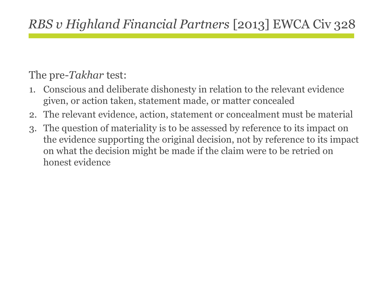# *RBS v Highland Financial Partners* [2013] EWCA Civ 328

#### The pre-*Takhar* test:

- 1. Conscious and deliberate dishonesty in relation to the relevant evidence given, or action taken, statement made, or matter concealed
- 2. The relevant evidence, action, statement or concealment must be material
- 3. The question of materiality is to be assessed by reference to its impact on the evidence supporting the original decision, not by reference to its impact on what the decision might be made if the claim were to be retried on honest evidence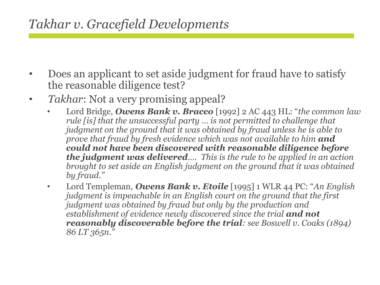## *Takhar v. Gracefield Developments*

- Does an applicant to set aside judgment for fraud have to satisfy the reasonable diligence test?
- *Takhar*: Not a very promising appeal?
	- Lord Bridge, *Owens Bank v. Bracco* [1992] 2 AC 443 HL: "*the common law rule [is] that the unsuccessful party … is not permitted to challenge that judgment on the ground that it was obtained by fraud unless he is able to prove that fraud by fresh evidence which was not available to him and could not have been discovered with reasonable diligence before the judgment was delivered…. This is the rule to be applied in an action brought to set aside an English judgment on the ground that it was obtained by fraud."*
	- Lord Templeman, *Owens Bank v. Etoile* [1995] 1 WLR 44 PC: "*An English judgment is impeachable in an English court on the ground that the first judgment was obtained by fraud but only by the production and establishment of evidence newly discovered since the trial and not reasonably discoverable before the trial: see Boswell v. Coaks (1894) 86 LT 365n."*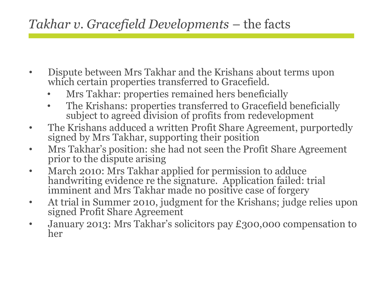## *Takhar v. Gracefield Developments* – the facts

- Dispute between Mrs Takhar and the Krishans about terms upon which certain properties transferred to Gracefield.
	- Mrs Takhar: properties remained hers beneficially
	- The Krishans: properties transferred to Gracefield beneficially subject to agreed division of profits from redevelopment
- The Krishans adduced a written Profit Share Agreement, purportedly signed by Mrs Takhar, supporting their position
- Mrs Takhar's position: she had not seen the Profit Share Agreement prior to the dispute arising
- March 2010: Mrs Takhar applied for permission to adduce handwriting evidence re the signature. Application failed: trial imminent and Mrs Takhar made no positive case of forgery
- At trial in Summer 2010, judgment for the Krishans; judge relies upon signed Profit Share Agreement
- January 2013: Mrs Takhar's solicitors pay £300,000 compensation to her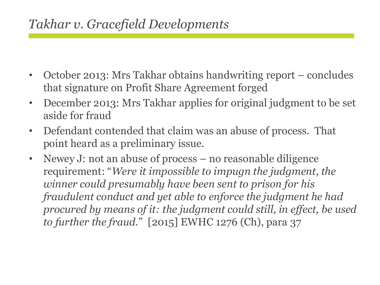## *Takhar v. Gracefield Developments*

- October 2013: Mrs Takhar obtains handwriting report concludes that signature on Profit Share Agreement forged
- December 2013: Mrs Takhar applies for original judgment to be set aside for fraud
- Defendant contended that claim was an abuse of process. That point heard as a preliminary issue.
- Newey J: not an abuse of process no reasonable diligence requirement: "*Were it impossible to impugn the judgment, the winner could presumably have been sent to prison for his fraudulent conduct and yet able to enforce the judgment he had procured by means of it: the judgment could still, in effect, be used to further the fraud.*" [2015] EWHC 1276 (Ch), para 37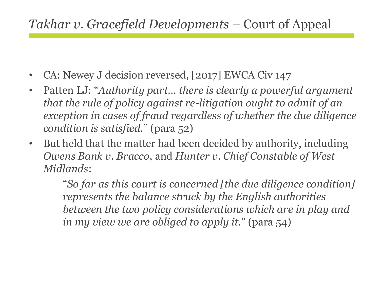## *Takhar v. Gracefield Developments* – Court of Appeal

- CA: Newey J decision reversed, [2017] EWCA Civ 147
- Patten LJ: "*Authority part… there is clearly a powerful argument that the rule of policy against re-litigation ought to admit of an exception in cases of fraud regardless of whether the due diligence condition is satisfied.*" (para 52)
- But held that the matter had been decided by authority, including *Owens Bank v. Bracco*, and *Hunter v. Chief Constable of West Midlands*:

"*So far as this court is concerned [the due diligence condition] represents the balance struck by the English authorities between the two policy considerations which are in play and in my view we are obliged to apply it.*" (para 54)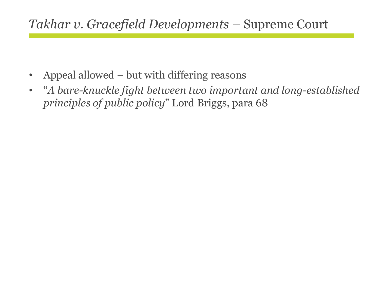- Appeal allowed but with differing reasons
- $\bullet$ "*A bare-knuckle fight between two important and long-established principles of public policy*" Lord Briggs, para 68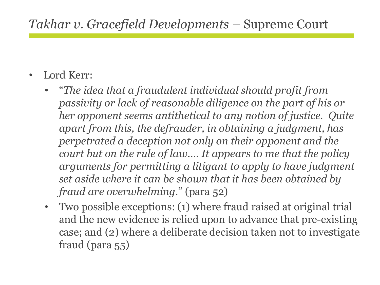- Lord Kerr:
	- "*The idea that a fraudulent individual should profit from passivity or lack of reasonable diligence on the part of his or her opponent seems antithetical to any notion of justice. Quite apart from this, the defrauder, in obtaining a judgment, has perpetrated a deception not only on their opponent and the court but on the rule of law…. It appears to me that the policy arguments for permitting a litigant to apply to have judgment set aside where it can be shown that it has been obtained by fraud are overwhelming.*" (para 52)
	- Two possible exceptions: (1) where fraud raised at original trial and the new evidence is relied upon to advance that pre-existing case; and (2) where a deliberate decision taken not to investigate fraud (para 55)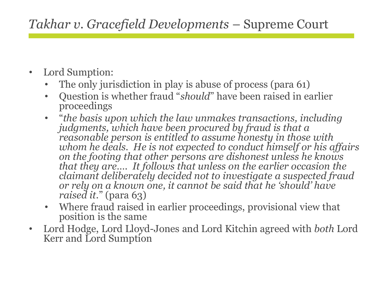- Lord Sumption:
	- The only jurisdiction in play is abuse of process (para 61)
	- Question is whether fraud "*should*" have been raised in earlier proceedings
	- "*the basis upon which the law unmakes transactions, including judgments, which have been procured by fraud is that a reasonable person is entitled to assume honesty in those with whom he deals. He is not expected to conduct himself or his affairs on the footing that other persons are dishonest unless he knows that they are…. It follows that unless on the earlier occasion the claimant deliberately decided not to investigate a suspected fraud or rely on a known one, it cannot be said that he 'should' have raised it.*" (para 63)
	- Where fraud raised in earlier proceedings, provisional view that position is the same
- Lord Hodge, Lord Lloyd-Jones and Lord Kitchin agreed with *both* Lord Kerr and Lord Sumption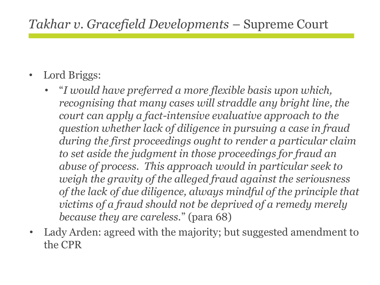- Lord Briggs:
	- "*I would have preferred a more flexible basis upon which, recognising that many cases will straddle any bright line, the court can apply a fact-intensive evaluative approach to the question whether lack of diligence in pursuing a case in fraud during the first proceedings ought to render a particular claim to set aside the judgment in those proceedings for fraud an abuse of process. This approach would in particular seek to weigh the gravity of the alleged fraud against the seriousness of the lack of due diligence, always mindful of the principle that victims of a fraud should not be deprived of a remedy merely because they are careless.*" (para 68)
- Lady Arden: agreed with the majority; but suggested amendment to the CPR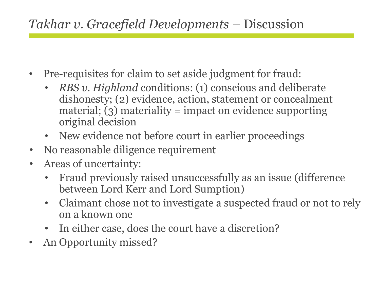## *Takhar v. Gracefield Developments* – Discussion

- Pre-requisites for claim to set aside judgment for fraud:
	- *RBS v. Highland* conditions: (1) conscious and deliberate dishonesty; (2) evidence, action, statement or concealment material;  $(3)$  materiality = impact on evidence supporting original decision
	- New evidence not before court in earlier proceedings
- No reasonable diligence requirement
- Areas of uncertainty:
	- Fraud previously raised unsuccessfully as an issue (difference between Lord Kerr and Lord Sumption)
	- Claimant chose not to investigate a suspected fraud or not to rely on a known one
	- In either case, does the court have a discretion?
- An Opportunity missed?